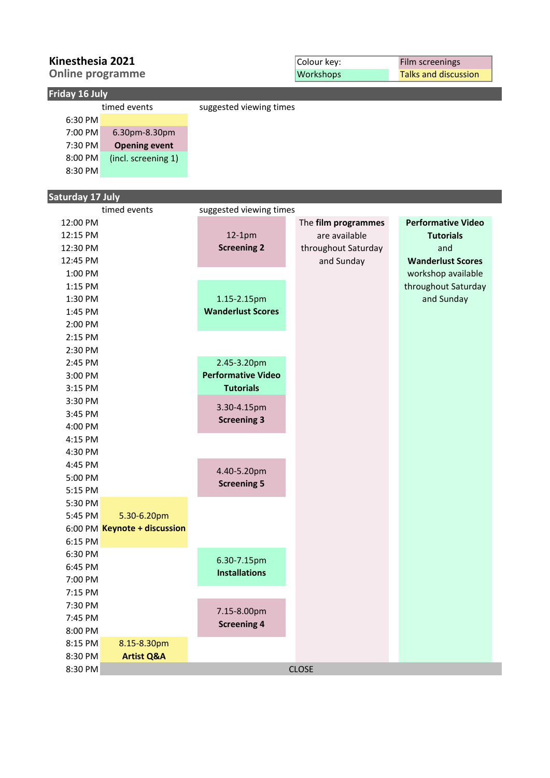| Kinesthesia 2021        |                      |                           | Colour key:         | Film screenings             |
|-------------------------|----------------------|---------------------------|---------------------|-----------------------------|
| <b>Online programme</b> |                      |                           | Workshops           | <b>Talks and discussion</b> |
| Friday 16 July          |                      |                           |                     |                             |
|                         | timed events         | suggested viewing times   |                     |                             |
| 6:30 PM                 |                      |                           |                     |                             |
| 7:00 PM                 | 6.30pm-8.30pm        |                           |                     |                             |
| 7:30 PM                 | <b>Opening event</b> |                           |                     |                             |
| 8:00 PM                 | (incl. screening 1)  |                           |                     |                             |
| 8:30 PM                 |                      |                           |                     |                             |
|                         |                      |                           |                     |                             |
| <b>Saturday 17 July</b> |                      |                           |                     |                             |
|                         | timed events         | suggested viewing times   |                     |                             |
| 12:00 PM                |                      |                           | The film programmes | <b>Performative Video</b>   |
| 12:15 PM                |                      | $12-1pm$                  | are available       | <b>Tutorials</b>            |
| 12:30 PM                |                      | <b>Screening 2</b>        | throughout Saturday | and                         |
| 12:45 PM                |                      |                           | and Sunday          | <b>Wanderlust Scores</b>    |
| 1:00 PM                 |                      |                           |                     | workshop available          |
| 1:15 PM                 |                      |                           |                     | throughout Saturday         |
| 1:30 PM                 |                      | 1.15-2.15pm               |                     | and Sunday                  |
| 1:45 PM                 |                      | <b>Wanderlust Scores</b>  |                     |                             |
| 2:00 PM                 |                      |                           |                     |                             |
| 2:15 PM                 |                      |                           |                     |                             |
| 2:30 PM                 |                      |                           |                     |                             |
| 2:45 PM                 |                      | 2.45-3.20pm               |                     |                             |
| 3:00 PM                 |                      | <b>Performative Video</b> |                     |                             |
| 3:15 PM                 |                      | <b>Tutorials</b>          |                     |                             |
| 3:30 PM                 |                      | 3.30-4.15pm               |                     |                             |
| 3:45 PM                 |                      |                           |                     |                             |

7.15-8.00pm **Screening 4** 

6.30-7.15pm **Installations**

CLOSE

4.40-5.20pm **Screening 5**

**Screening 3**

4:00 PM 4:15 PM 4:30 PM 4:45 PM 5:00 PM 5:15 PM 5:30 PM 5:45 PM

6:15 PM 6:30 PM 6:45 PM 7:00 PM 7:15 PM 7:30 PM 7:45 PM 8:00 PM 8:15 PM 8:30 PM 8:30 PM

6:00 PM **Keynote + discussion**

5.30-6.20pm

8.15-8.30pm **Artist Q&A**